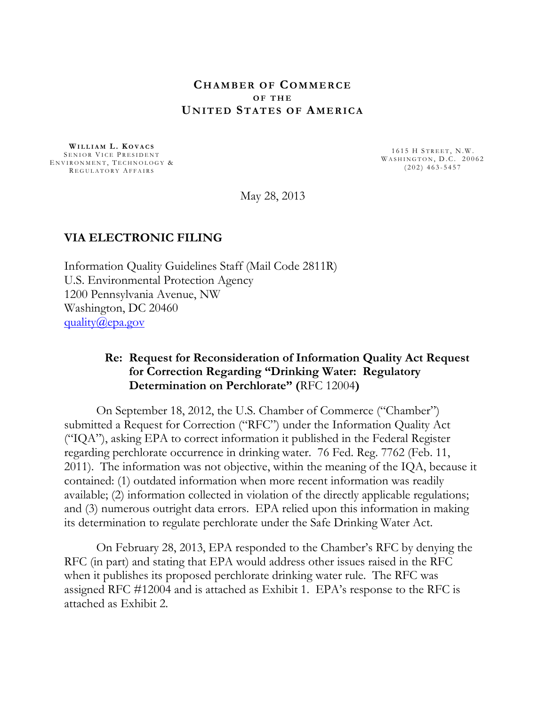#### **CHAMBER OF COMMERCE O F T H E UNITED STATES OF AMERICA**

**WILLIAM L. KOVACS** ENVIRONMENT, TECHNOLOGY & SENIOR VICE PRESIDENT REGULATORY AFFAIRS

1615 H STREET, N.W. WASHINGTON, D.C. 20062  $( 202 )$  463-5457

May 28, 2013

#### **VIA ELECTRONIC FILING**

Information Quality Guidelines Staff (Mail Code 2811R) U.S. Environmental Protection Agency 1200 Pennsylvania Avenue, NW Washington, DC 20460 [quality@epa.gov](mailto:quality@epa.gov)

# **Re: Request for Reconsideration of Information Quality Act Request for Correction Regarding "Drinking Water: Regulatory Determination on Perchlorate" (**RFC 12004**)**

On September 18, 2012, the U.S. Chamber of Commerce ("Chamber") submitted a Request for Correction ("RFC") under the Information Quality Act ("IQA"), asking EPA to correct information it published in the Federal Register regarding perchlorate occurrence in drinking water. 76 Fed. Reg. 7762 (Feb. 11, 2011). The information was not objective, within the meaning of the IQA, because it contained: (1) outdated information when more recent information was readily available; (2) information collected in violation of the directly applicable regulations; and (3) numerous outright data errors. EPA relied upon this information in making its determination to regulate perchlorate under the Safe Drinking Water Act.

On February 28, 2013, EPA responded to the Chamber's RFC by denying the RFC (in part) and stating that EPA would address other issues raised in the RFC when it publishes its proposed perchlorate drinking water rule. The RFC was assigned RFC #12004 and is attached as Exhibit 1. EPA's response to the RFC is attached as Exhibit 2.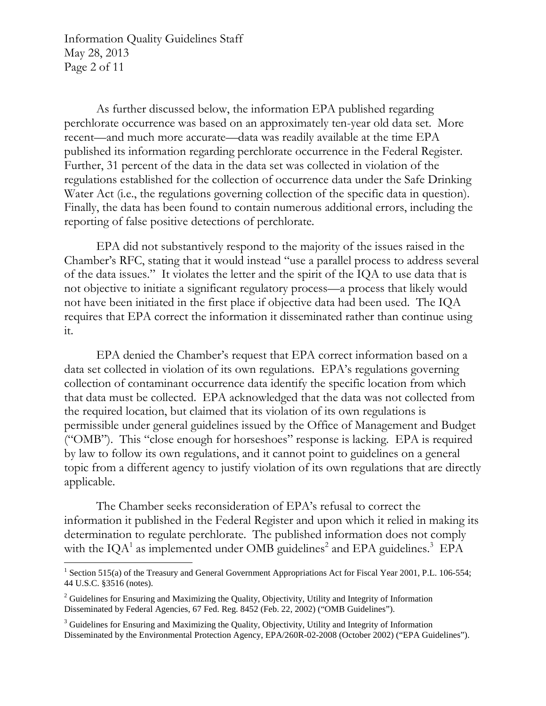Information Quality Guidelines Staff May 28, 2013 Page 2 of 11

As further discussed below, the information EPA published regarding perchlorate occurrence was based on an approximately ten-year old data set. More recent—and much more accurate—data was readily available at the time EPA published its information regarding perchlorate occurrence in the Federal Register. Further, 31 percent of the data in the data set was collected in violation of the regulations established for the collection of occurrence data under the Safe Drinking Water Act (*i.e.*, the regulations governing collection of the specific data in question). Finally, the data has been found to contain numerous additional errors, including the reporting of false positive detections of perchlorate.

EPA did not substantively respond to the majority of the issues raised in the Chamber's RFC, stating that it would instead "use a parallel process to address several of the data issues." It violates the letter and the spirit of the IQA to use data that is not objective to initiate a significant regulatory process—a process that likely would not have been initiated in the first place if objective data had been used. The IQA requires that EPA correct the information it disseminated rather than continue using it.

EPA denied the Chamber's request that EPA correct information based on a data set collected in violation of its own regulations. EPA's regulations governing collection of contaminant occurrence data identify the specific location from which that data must be collected. EPA acknowledged that the data was not collected from the required location, but claimed that its violation of its own regulations is permissible under general guidelines issued by the Office of Management and Budget ("OMB"). This "close enough for horseshoes" response is lacking. EPA is required by law to follow its own regulations, and it cannot point to guidelines on a general topic from a different agency to justify violation of its own regulations that are directly applicable.

The Chamber seeks reconsideration of EPA's refusal to correct the information it published in the Federal Register and upon which it relied in making its determination to regulate perchlorate. The published information does not comply with the  $IQA<sup>1</sup>$  as implemented under OMB guidelines<sup>2</sup> and EPA guidelines.<sup>3</sup> EPA

<span id="page-1-0"></span><sup>&</sup>lt;sup>1</sup> Section 515(a) of the Treasury and General Government Appropriations Act for Fiscal Year 2001, P.L. 106-554; 44 U.S.C. §3516 (notes).

<span id="page-1-1"></span><sup>&</sup>lt;sup>2</sup> Guidelines for Ensuring and Maximizing the Quality, Objectivity, Utility and Integrity of Information Disseminated by Federal Agencies, 67 Fed. Reg. 8452 (Feb. 22, 2002) ("OMB Guidelines").

<span id="page-1-2"></span><sup>&</sup>lt;sup>3</sup> Guidelines for Ensuring and Maximizing the Quality, Objectivity, Utility and Integrity of Information Disseminated by the Environmental Protection Agency, EPA/260R-02-2008 (October 2002) ("EPA Guidelines").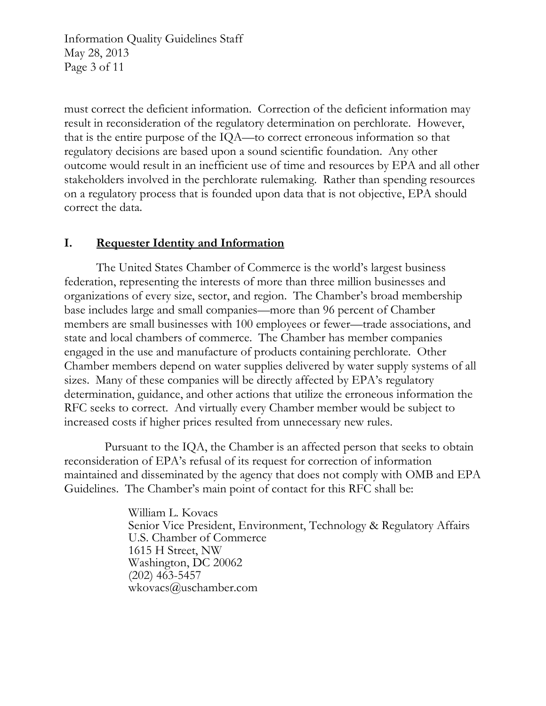Information Quality Guidelines Staff May 28, 2013 Page 3 of 11

must correct the deficient information. Correction of the deficient information may result in reconsideration of the regulatory determination on perchlorate. However, that is the entire purpose of the IQA—to correct erroneous information so that regulatory decisions are based upon a sound scientific foundation. Any other outcome would result in an inefficient use of time and resources by EPA and all other stakeholders involved in the perchlorate rulemaking. Rather than spending resources on a regulatory process that is founded upon data that is not objective, EPA should correct the data.

# **I. Requester Identity and Information**

The United States Chamber of Commerce is the world's largest business federation, representing the interests of more than three million businesses and organizations of every size, sector, and region. The Chamber's broad membership base includes large and small companies—more than 96 percent of Chamber members are small businesses with 100 employees or fewer—trade associations, and state and local chambers of commerce. The Chamber has member companies engaged in the use and manufacture of products containing perchlorate. Other Chamber members depend on water supplies delivered by water supply systems of all sizes. Many of these companies will be directly affected by EPA's regulatory determination, guidance, and other actions that utilize the erroneous information the RFC seeks to correct. And virtually every Chamber member would be subject to increased costs if higher prices resulted from unnecessary new rules.

Pursuant to the IQA, the Chamber is an affected person that seeks to obtain reconsideration of EPA's refusal of its request for correction of information maintained and disseminated by the agency that does not comply with OMB and EPA Guidelines. The Chamber's main point of contact for this RFC shall be:

> William L. Kovacs Senior Vice President, Environment, Technology & Regulatory Affairs U.S. Chamber of Commerce 1615 H Street, NW Washington, DC 20062 (202) 463-5457 [wkovacs@uschamber.com](mailto:wkovacs@uschamber.com)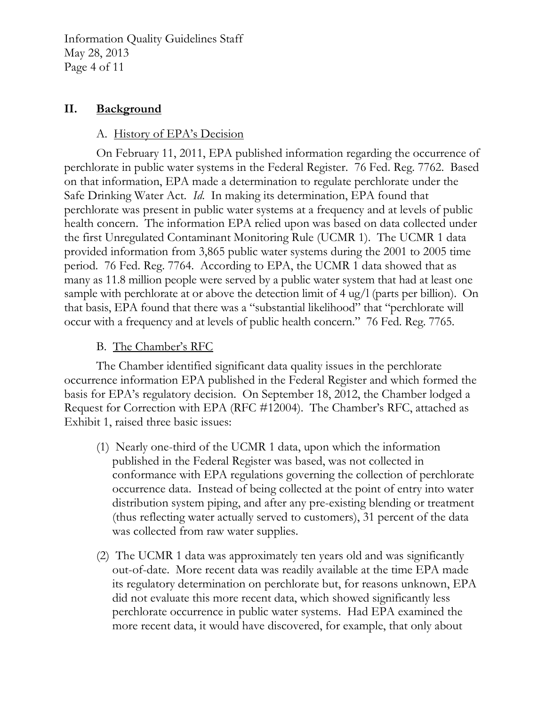Information Quality Guidelines Staff May 28, 2013 Page 4 of 11

# **II. Background**

# A. History of EPA's Decision

On February 11, 2011, EPA published information regarding the occurrence of perchlorate in public water systems in the Federal Register. 76 Fed. Reg. 7762. Based on that information, EPA made a determination to regulate perchlorate under the Safe Drinking Water Act. *Id*. In making its determination, EPA found that perchlorate was present in public water systems at a frequency and at levels of public health concern. The information EPA relied upon was based on data collected under the first Unregulated Contaminant Monitoring Rule (UCMR 1). The UCMR 1 data provided information from 3,865 public water systems during the 2001 to 2005 time period. 76 Fed. Reg. 7764. According to EPA, the UCMR 1 data showed that as many as 11.8 million people were served by a public water system that had at least one sample with perchlorate at or above the detection limit of 4 ug/l (parts per billion). On that basis, EPA found that there was a "substantial likelihood" that "perchlorate will occur with a frequency and at levels of public health concern." 76 Fed. Reg. 7765.

# B. The Chamber's RFC

The Chamber identified significant data quality issues in the perchlorate occurrence information EPA published in the Federal Register and which formed the basis for EPA's regulatory decision. On September 18, 2012, the Chamber lodged a Request for Correction with EPA (RFC #12004). The Chamber's RFC, attached as Exhibit 1, raised three basic issues:

- (1) Nearly one-third of the UCMR 1 data, upon which the information published in the Federal Register was based, was not collected in conformance with EPA regulations governing the collection of perchlorate occurrence data. Instead of being collected at the point of entry into water distribution system piping, and after any pre-existing blending or treatment (thus reflecting water actually served to customers), 31 percent of the data was collected from raw water supplies.
- (2) The UCMR 1 data was approximately ten years old and was significantly out-of-date. More recent data was readily available at the time EPA made its regulatory determination on perchlorate but, for reasons unknown, EPA did not evaluate this more recent data, which showed significantly less perchlorate occurrence in public water systems. Had EPA examined the more recent data, it would have discovered, for example, that only about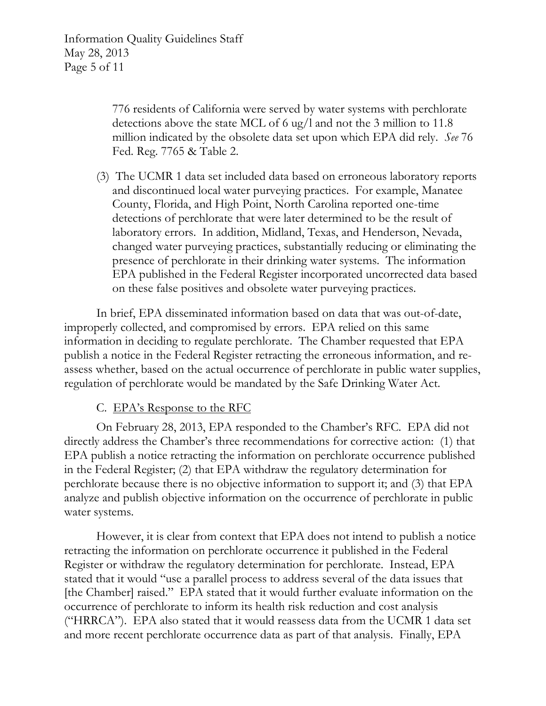Information Quality Guidelines Staff May 28, 2013 Page 5 of 11

> 776 residents of California were served by water systems with perchlorate detections above the state MCL of 6 ug/l and not the 3 million to 11.8 million indicated by the obsolete data set upon which EPA did rely. *See* 76 Fed. Reg. 7765 & Table 2.

(3) The UCMR 1 data set included data based on erroneous laboratory reports and discontinued local water purveying practices. For example, Manatee County, Florida, and High Point, North Carolina reported one-time detections of perchlorate that were later determined to be the result of laboratory errors. In addition, Midland, Texas, and Henderson, Nevada, changed water purveying practices, substantially reducing or eliminating the presence of perchlorate in their drinking water systems. The information EPA published in the Federal Register incorporated uncorrected data based on these false positives and obsolete water purveying practices.

In brief, EPA disseminated information based on data that was out-of-date, improperly collected, and compromised by errors. EPA relied on this same information in deciding to regulate perchlorate. The Chamber requested that EPA publish a notice in the Federal Register retracting the erroneous information, and reassess whether, based on the actual occurrence of perchlorate in public water supplies, regulation of perchlorate would be mandated by the Safe Drinking Water Act.

C. EPA's Response to the RFC

On February 28, 2013, EPA responded to the Chamber's RFC. EPA did not directly address the Chamber's three recommendations for corrective action: (1) that EPA publish a notice retracting the information on perchlorate occurrence published in the Federal Register; (2) that EPA withdraw the regulatory determination for perchlorate because there is no objective information to support it; and (3) that EPA analyze and publish objective information on the occurrence of perchlorate in public water systems.

However, it is clear from context that EPA does not intend to publish a notice retracting the information on perchlorate occurrence it published in the Federal Register or withdraw the regulatory determination for perchlorate. Instead, EPA stated that it would "use a parallel process to address several of the data issues that [the Chamber] raised." EPA stated that it would further evaluate information on the occurrence of perchlorate to inform its health risk reduction and cost analysis ("HRRCA"). EPA also stated that it would reassess data from the UCMR 1 data set and more recent perchlorate occurrence data as part of that analysis. Finally, EPA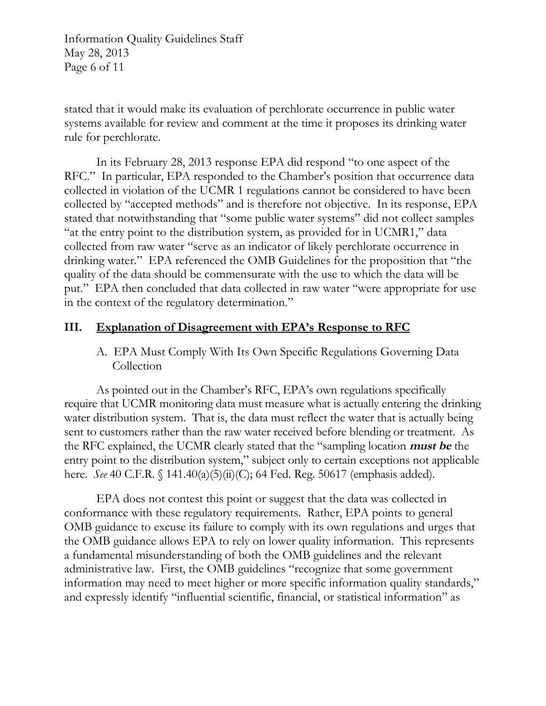Information Quality Guidelines Staff May 28, 2013 Page 6 of 11

stated that it would make its evaluation of perchlorate occurrence in public water systems available for review and comment at the time it proposes its drinking water rule for perchlorate.

In its February 28, 2013 response EPA did respond "to one aspect of the RFC." In particular, EPA responded to the Chamber's position that occurrence data collected in violation of the UCMR 1 regulations cannot be considered to have been collected by "accepted methods" and is therefore not objective. In its response, EPA stated that notwithstanding that "some public water systems" did not collect samples "at the entry point to the distribution system, as provided for in UCMR1," data collected from raw water "serve as an indicator of likely perchlorate occurrence in drinking water." EPA referenced the OMB Guidelines for the proposition that "the quality of the data should be commensurate with the use to which the data will be put." EPA then concluded that data collected in raw water "were appropriate for use in the context of the regulatory determination."

# **III. Explanation of Disagreement with EPA's Response to RFC**

A. EPA Must Comply With Its Own Specific Regulations Governing Data **Collection** 

As pointed out in the Chamber's RFC, EPA's own regulations specifically require that UCMR monitoring data must measure what is actually entering the drinking water distribution system. That is, the data must reflect the water that is actually being sent to customers rather than the raw water received before blending or treatment. As the RFC explained, the UCMR clearly stated that the "sampling location **must be** the entry point to the distribution system," subject only to certain exceptions not applicable here. *See* 40 C.F.R. § 141.40(a)(5)(ii)(C); 64 Fed. Reg. 50617 (emphasis added).

EPA does not contest this point or suggest that the data was collected in conformance with these regulatory requirements. Rather, EPA points to general OMB guidance to excuse its failure to comply with its own regulations and urges that the OMB guidance allows EPA to rely on lower quality information. This represents a fundamental misunderstanding of both the OMB guidelines and the relevant administrative law. First, the OMB guidelines "recognize that some government information may need to meet higher or more specific information quality standards," and expressly identify "influential scientific, financial, or statistical information" as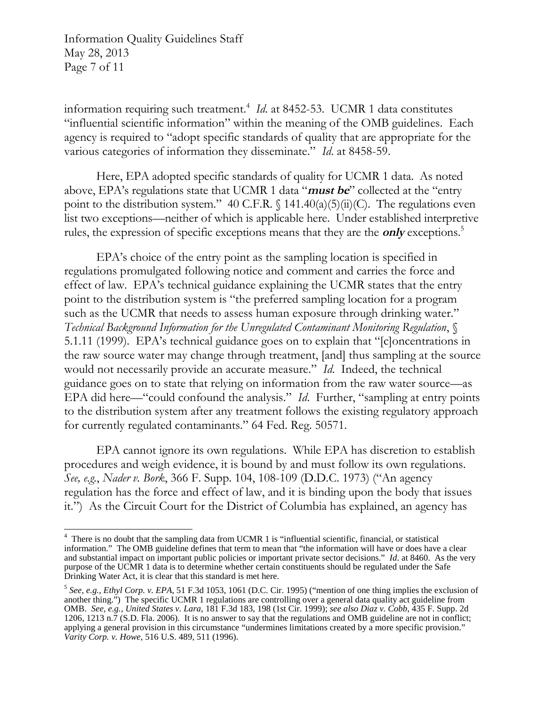Information Quality Guidelines Staff May 28, 2013 Page 7 of 11

information requiring such treatment.[4](#page-6-0) *Id*. at 8452-53. UCMR 1 data constitutes "influential scientific information" within the meaning of the OMB guidelines. Each agency is required to "adopt specific standards of quality that are appropriate for the various categories of information they disseminate." *Id*. at 8458-59.

Here, EPA adopted specific standards of quality for UCMR 1 data. As noted above, EPA's regulations state that UCMR 1 data "**must be**" collected at the "entry point to the distribution system." 40 C.F.R.  $\int$  141.40(a)(5)(ii)(C). The regulations even list two exceptions—neither of which is applicable here. Under established interpretive rules, the expression of specific exceptions means that they are the **only** exceptions.[5](#page-6-1) 

EPA's choice of the entry point as the sampling location is specified in regulations promulgated following notice and comment and carries the force and effect of law. EPA's technical guidance explaining the UCMR states that the entry point to the distribution system is "the preferred sampling location for a program such as the UCMR that needs to assess human exposure through drinking water." *Technical Background Information for the Unregulated Contaminant Monitoring Regulation*, § 5.1.11 (1999). EPA's technical guidance goes on to explain that "[c]oncentrations in the raw source water may change through treatment, [and] thus sampling at the source would not necessarily provide an accurate measure." *Id*. Indeed, the technical guidance goes on to state that relying on information from the raw water source—as EPA did here—"could confound the analysis." *Id*. Further, "sampling at entry points to the distribution system after any treatment follows the existing regulatory approach for currently regulated contaminants." 64 Fed. Reg. 50571.

EPA cannot ignore its own regulations. While EPA has discretion to establish procedures and weigh evidence, it is bound by and must follow its own regulations. *See, e.g.*, *Nader v. Bork*, 366 F. Supp. 104, 108-109 (D.D.C. 1973) ("An agency regulation has the force and effect of law, and it is binding upon the body that issues it.") As the Circuit Court for the District of Columbia has explained, an agency has

<span id="page-6-0"></span><sup>&</sup>lt;sup>4</sup> There is no doubt that the sampling data from UCMR 1 is "influential scientific, financial, or statistical information." The OMB guideline defines that term to mean that "the information will have or does have a clear and substantial impact on important public policies or important private sector decisions." *Id*. at 8460. As the very purpose of the UCMR 1 data is to determine whether certain constituents should be regulated under the Safe Drinking Water Act, it is clear that this standard is met here.

<span id="page-6-1"></span><sup>5</sup>*See, e.g.*, *Ethyl Corp. v. EPA*, 51 F.3d 1053, 1061 (D.C. Cir. 1995) ("mention of one thing implies the exclusion of another thing.") The specific UCMR 1 regulations are controlling over a general data quality act guideline from OMB. *See, e.g.*, *United States v. Lara*, 181 F.3d 183, 198 (1st Cir. 1999); *see also Diaz v. Cobb*, 435 F. Supp. 2d 1206, 1213 n.7 (S.D. Fla. 2006). It is no answer to say that the regulations and OMB guideline are not in conflict; applying a general provision in this circumstance "undermines limitations created by a more specific provision." *Varity Corp. v. Howe*, 516 U.S. 489, 511 (1996).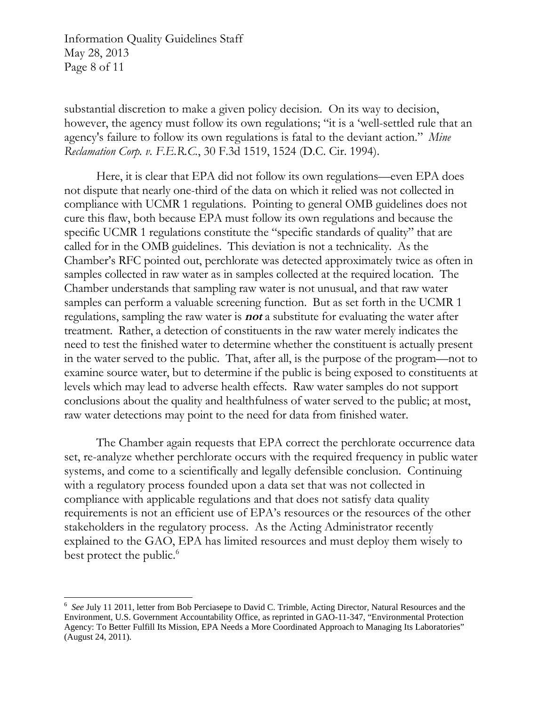Information Quality Guidelines Staff May 28, 2013 Page 8 of 11

substantial discretion to make a given policy decision. On its way to decision, however, the agency must follow its own regulations; "it is a 'well-settled rule that an agency's failure to follow its own regulations is fatal to the deviant action." *Mine Reclamation Corp. v. F.E.R.C.*, 30 F.3d 1519, 1524 (D.C. Cir. 1994).

Here, it is clear that EPA did not follow its own regulations—even EPA does not dispute that nearly one-third of the data on which it relied was not collected in compliance with UCMR 1 regulations. Pointing to general OMB guidelines does not cure this flaw, both because EPA must follow its own regulations and because the specific UCMR 1 regulations constitute the "specific standards of quality" that are called for in the OMB guidelines. This deviation is not a technicality. As the Chamber's RFC pointed out, perchlorate was detected approximately twice as often in samples collected in raw water as in samples collected at the required location. The Chamber understands that sampling raw water is not unusual, and that raw water samples can perform a valuable screening function. But as set forth in the UCMR 1 regulations, sampling the raw water is **not** a substitute for evaluating the water after treatment. Rather, a detection of constituents in the raw water merely indicates the need to test the finished water to determine whether the constituent is actually present in the water served to the public. That, after all, is the purpose of the program—not to examine source water, but to determine if the public is being exposed to constituents at levels which may lead to adverse health effects. Raw water samples do not support conclusions about the quality and healthfulness of water served to the public; at most, raw water detections may point to the need for data from finished water.

The Chamber again requests that EPA correct the perchlorate occurrence data set, re-analyze whether perchlorate occurs with the required frequency in public water systems, and come to a scientifically and legally defensible conclusion. Continuing with a regulatory process founded upon a data set that was not collected in compliance with applicable regulations and that does not satisfy data quality requirements is not an efficient use of EPA's resources or the resources of the other stakeholders in the regulatory process. As the Acting Administrator recently explained to the GAO, EPA has limited resources and must deploy them wisely to best protect the public.<sup>6</sup>

<span id="page-7-0"></span><sup>6</sup>*See* July 11 2011, letter from Bob Perciasepe to David C. Trimble, Acting Director, Natural Resources and the Environment, U.S. Government Accountability Office, as reprinted in GAO-11-347, "Environmental Protection Agency: To Better Fulfill Its Mission, EPA Needs a More Coordinated Approach to Managing Its Laboratories" (August 24, 2011).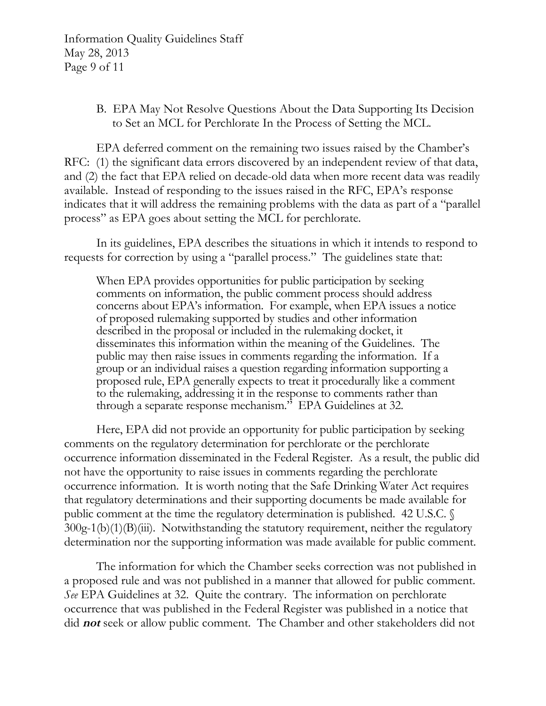Information Quality Guidelines Staff May 28, 2013 Page 9 of 11

> B. EPA May Not Resolve Questions About the Data Supporting Its Decision to Set an MCL for Perchlorate In the Process of Setting the MCL.

EPA deferred comment on the remaining two issues raised by the Chamber's RFC: (1) the significant data errors discovered by an independent review of that data, and (2) the fact that EPA relied on decade-old data when more recent data was readily available. Instead of responding to the issues raised in the RFC, EPA's response indicates that it will address the remaining problems with the data as part of a "parallel process" as EPA goes about setting the MCL for perchlorate.

In its guidelines, EPA describes the situations in which it intends to respond to requests for correction by using a "parallel process." The guidelines state that:

When EPA provides opportunities for public participation by seeking comments on information, the public comment process should address concerns about EPA's information. For example, when EPA issues a notice of proposed rulemaking supported by studies and other information described in the proposal or included in the rulemaking docket, it disseminates this information within the meaning of the Guidelines. The public may then raise issues in comments regarding the information. If a group or an individual raises a question regarding information supporting a proposed rule, EPA generally expects to treat it procedurally like a comment to the rulemaking, addressing it in the response to comments rather than through a separate response mechanism." EPA Guidelines at 32.

Here, EPA did not provide an opportunity for public participation by seeking comments on the regulatory determination for perchlorate or the perchlorate occurrence information disseminated in the Federal Register. As a result, the public did not have the opportunity to raise issues in comments regarding the perchlorate occurrence information. It is worth noting that the Safe Drinking Water Act requires that regulatory determinations and their supporting documents be made available for public comment at the time the regulatory determination is published. 42 U.S.C. §  $300g-1(b)(1)(B)(iii)$ . Notwithstanding the statutory requirement, neither the regulatory determination nor the supporting information was made available for public comment.

The information for which the Chamber seeks correction was not published in a proposed rule and was not published in a manner that allowed for public comment. *See* EPA Guidelines at 32. Quite the contrary. The information on perchlorate occurrence that was published in the Federal Register was published in a notice that did **not** seek or allow public comment. The Chamber and other stakeholders did not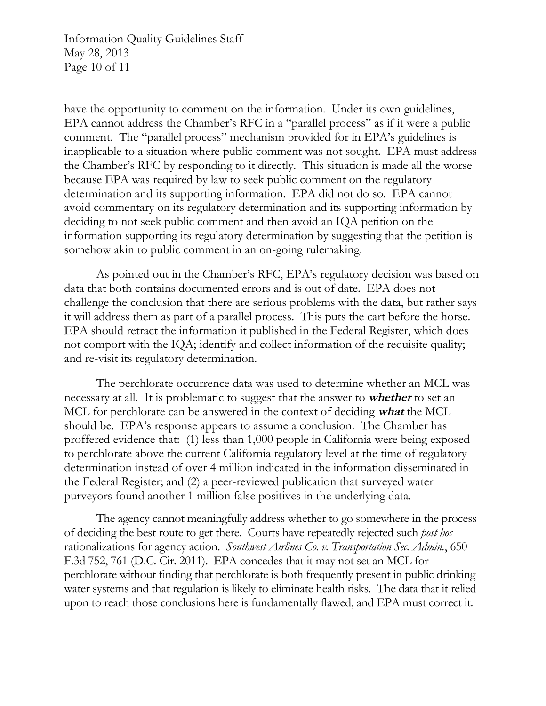Information Quality Guidelines Staff May 28, 2013 Page 10 of 11

have the opportunity to comment on the information. Under its own guidelines, EPA cannot address the Chamber's RFC in a "parallel process" as if it were a public comment. The "parallel process" mechanism provided for in EPA's guidelines is inapplicable to a situation where public comment was not sought. EPA must address the Chamber's RFC by responding to it directly. This situation is made all the worse because EPA was required by law to seek public comment on the regulatory determination and its supporting information. EPA did not do so. EPA cannot avoid commentary on its regulatory determination and its supporting information by deciding to not seek public comment and then avoid an IQA petition on the information supporting its regulatory determination by suggesting that the petition is somehow akin to public comment in an on-going rulemaking.

As pointed out in the Chamber's RFC, EPA's regulatory decision was based on data that both contains documented errors and is out of date. EPA does not challenge the conclusion that there are serious problems with the data, but rather says it will address them as part of a parallel process. This puts the cart before the horse. EPA should retract the information it published in the Federal Register, which does not comport with the IQA; identify and collect information of the requisite quality; and re-visit its regulatory determination.

The perchlorate occurrence data was used to determine whether an MCL was necessary at all. It is problematic to suggest that the answer to **whether** to set an MCL for perchlorate can be answered in the context of deciding **what** the MCL should be. EPA's response appears to assume a conclusion. The Chamber has proffered evidence that: (1) less than 1,000 people in California were being exposed to perchlorate above the current California regulatory level at the time of regulatory determination instead of over 4 million indicated in the information disseminated in the Federal Register; and (2) a peer-reviewed publication that surveyed water purveyors found another 1 million false positives in the underlying data.

The agency cannot meaningfully address whether to go somewhere in the process of deciding the best route to get there. Courts have repeatedly rejected such *post hoc*  rationalizations for agency action. *Southwest Airlines Co. v. Transportation Sec. Admin.*, 650 F.3d 752, 761 (D.C. Cir. 2011). EPA concedes that it may not set an MCL for perchlorate without finding that perchlorate is both frequently present in public drinking water systems and that regulation is likely to eliminate health risks. The data that it relied upon to reach those conclusions here is fundamentally flawed, and EPA must correct it.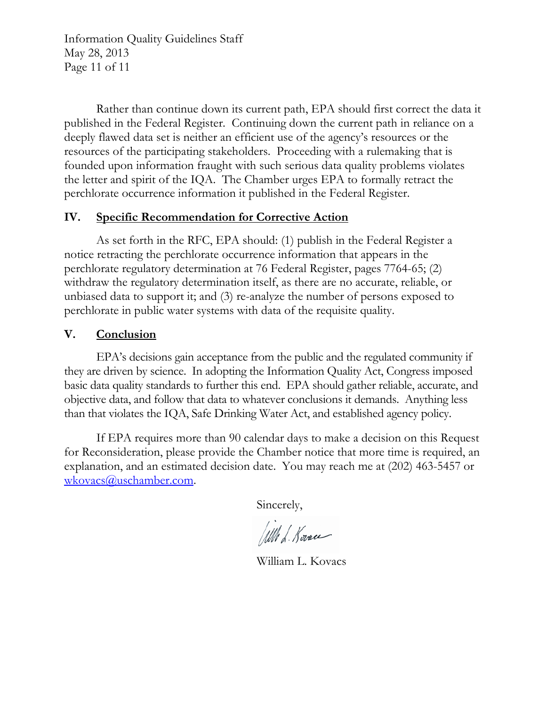Information Quality Guidelines Staff May 28, 2013 Page 11 of 11

Rather than continue down its current path, EPA should first correct the data it published in the Federal Register. Continuing down the current path in reliance on a deeply flawed data set is neither an efficient use of the agency's resources or the resources of the participating stakeholders. Proceeding with a rulemaking that is founded upon information fraught with such serious data quality problems violates the letter and spirit of the IQA. The Chamber urges EPA to formally retract the perchlorate occurrence information it published in the Federal Register.

# **IV. Specific Recommendation for Corrective Action**

As set forth in the RFC, EPA should: (1) publish in the Federal Register a notice retracting the perchlorate occurrence information that appears in the perchlorate regulatory determination at 76 Federal Register, pages 7764-65; (2) withdraw the regulatory determination itself, as there are no accurate, reliable, or unbiased data to support it; and (3) re-analyze the number of persons exposed to perchlorate in public water systems with data of the requisite quality.

# **V. Conclusion**

EPA's decisions gain acceptance from the public and the regulated community if they are driven by science. In adopting the Information Quality Act, Congress imposed basic data quality standards to further this end. EPA should gather reliable, accurate, and objective data, and follow that data to whatever conclusions it demands. Anything less than that violates the IQA, Safe Drinking Water Act, and established agency policy.

If EPA requires more than 90 calendar days to make a decision on this Request for Reconsideration, please provide the Chamber notice that more time is required, an explanation, and an estimated decision date. You may reach me at (202) 463-5457 or [wkovacs@uschamber.com](mailto:wkovacs@uschamber.com).

Sincerely,

Will L. Korace

William L. Kovacs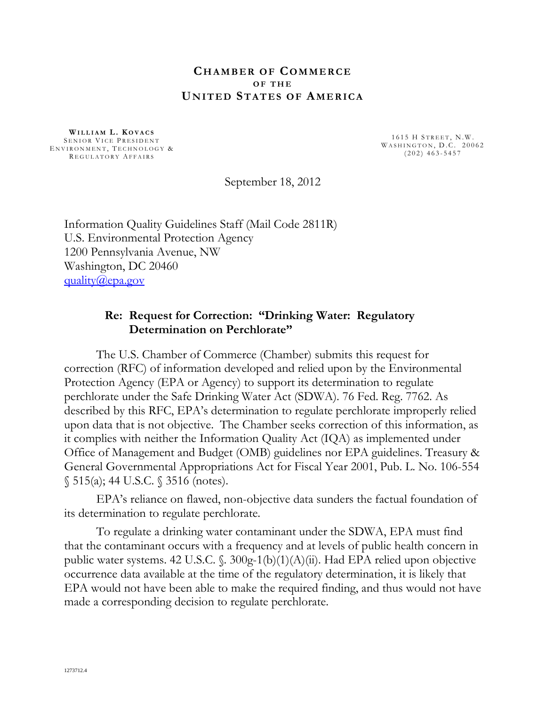#### **CHAMBER OF COMMERCE O F T H E UNITED STATES OF AMERICA**

WILLIAM L. KOVACS<br>
SENIOR VICE PRESIDENT<br>
ENVIRONMENT, TECHNOLOGY &<br>
REGULATORY AFFAIRS
(202) 463-5457

September 18, 2012

Information Quality Guidelines Staff (Mail Code 2811R) U.S. Environmental Protection Agency 1200 Pennsylvania Avenue, NW Washington, DC 20460 [quality@epa.gov](mailto:quality@epa.gov)

#### **Re: Request for Correction: "Drinking Water: Regulatory Determination on Perchlorate"**

The U.S. Chamber of Commerce (Chamber) submits this request for correction (RFC) of information developed and relied upon by the Environmental Protection Agency (EPA or Agency) to support its determination to regulate perchlorate under the Safe Drinking Water Act (SDWA). 76 Fed. Reg. 7762. As described by this RFC, EPA's determination to regulate perchlorate improperly relied upon data that is not objective. The Chamber seeks correction of this information, as it complies with neither the Information Quality Act (IQA) as implemented under Office of Management and Budget (OMB) guidelines nor EPA guidelines. Treasury & General Governmental Appropriations Act for Fiscal Year 2001, Pub. L. No. 106-554 § 515(a); 44 U.S.C. § 3516 (notes).

EPA's reliance on flawed, non-objective data sunders the factual foundation of its determination to regulate perchlorate.

To regulate a drinking water contaminant under the SDWA, EPA must find that the contaminant occurs with a frequency and at levels of public health concern in public water systems. 42 U.S.C. §. 300g-1(b)(1)(A)(ii). Had EPA relied upon objective occurrence data available at the time of the regulatory determination, it is likely that EPA would not have been able to make the required finding, and thus would not have made a corresponding decision to regulate perchlorate.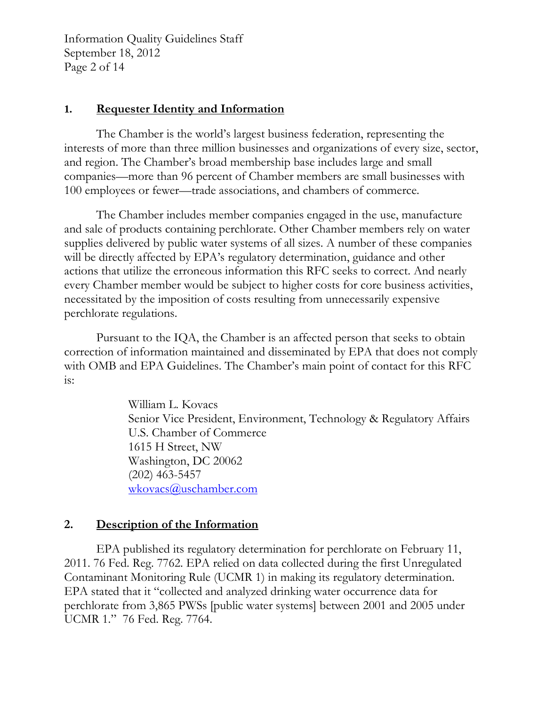Information Quality Guidelines Staff September 18, 2012 Page 2 of 14

# **1. Requester Identity and Information**

The Chamber is the world's largest business federation, representing the interests of more than three million businesses and organizations of every size, sector, and region. The Chamber's broad membership base includes large and small companies—more than 96 percent of Chamber members are small businesses with 100 employees or fewer—trade associations, and chambers of commerce.

The Chamber includes member companies engaged in the use, manufacture and sale of products containing perchlorate. Other Chamber members rely on water supplies delivered by public water systems of all sizes. A number of these companies will be directly affected by EPA's regulatory determination, guidance and other actions that utilize the erroneous information this RFC seeks to correct. And nearly every Chamber member would be subject to higher costs for core business activities, necessitated by the imposition of costs resulting from unnecessarily expensive perchlorate regulations.

Pursuant to the IQA, the Chamber is an affected person that seeks to obtain correction of information maintained and disseminated by EPA that does not comply with OMB and EPA Guidelines. The Chamber's main point of contact for this RFC  $is:$ 

> William L. Kovacs Senior Vice President, Environment, Technology & Regulatory Affairs U.S. Chamber of Commerce 1615 H Street, NW Washington, DC 20062 (202) 463-5457 [wkovacs@uschamber.com](mailto:wkovacs@uschamber.com)

# **2. Description of the Information**

EPA published its regulatory determination for perchlorate on February 11, 2011. 76 Fed. Reg. 7762. EPA relied on data collected during the first Unregulated Contaminant Monitoring Rule (UCMR 1) in making its regulatory determination. EPA stated that it "collected and analyzed drinking water occurrence data for perchlorate from 3,865 PWSs [public water systems] between 2001 and 2005 under UCMR 1." 76 Fed. Reg. 7764.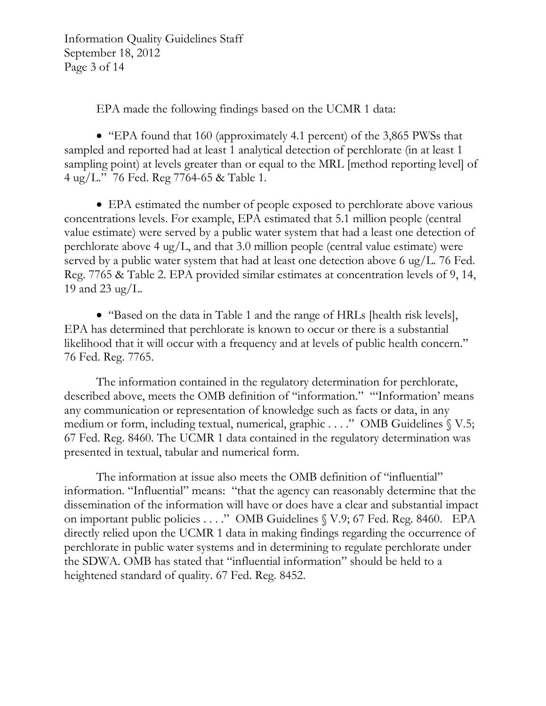Information Quality Guidelines Staff September 18, 2012 Page 3 of 14

EPA made the following findings based on the UCMR 1 data:

• "EPA found that 160 (approximately 4.1 percent) of the 3,865 PWSs that sampled and reported had at least 1 analytical detection of perchlorate (in at least 1 sampling point) at levels greater than or equal to the MRL [method reporting level] of 4 ug/L." 76 Fed. Reg 7764-65 & Table 1.

 EPA estimated the number of people exposed to perchlorate above various concentrations levels. For example, EPA estimated that 5.1 million people (central value estimate) were served by a public water system that had a least one detection of perchlorate above 4 ug/L, and that  $3.0$  million people (central value estimate) were served by a public water system that had at least one detection above 6 ug/L. 76 Fed. Reg. 7765 & Table 2. EPA provided similar estimates at concentration levels of 9, 14, 19 and 23 ug/L.

• "Based on the data in Table 1 and the range of HRLs [health risk levels], EPA has determined that perchlorate is known to occur or there is a substantial likelihood that it will occur with a frequency and at levels of public health concern." 76 Fed. Reg. 7765.

The information contained in the regulatory determination for perchlorate, described above, meets the OMB definition of "information." "'Information' means any communication or representation of knowledge such as facts or data, in any medium or form, including textual, numerical, graphic . . . ." OMB Guidelines § V.5; 67 Fed. Reg. 8460*.* The UCMR 1 data contained in the regulatory determination was presented in textual, tabular and numerical form.

The information at issue also meets the OMB definition of "influential" information. "Influential" means: "that the agency can reasonably determine that the dissemination of the information will have or does have a clear and substantial impact on important public policies . . . ." OMB Guidelines § V.9; 67 Fed. Reg. 8460*.* EPA directly relied upon the UCMR 1 data in making findings regarding the occurrence of perchlorate in public water systems and in determining to regulate perchlorate under the SDWA. OMB has stated that "influential information" should be held to a heightened standard of quality. 67 Fed. Reg. 8452.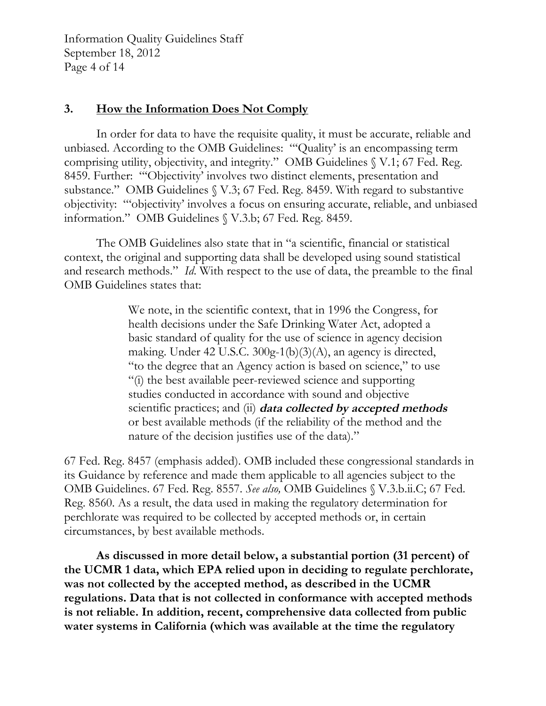Information Quality Guidelines Staff September 18, 2012 Page 4 of 14

# **3. How the Information Does Not Comply**

In order for data to have the requisite quality, it must be accurate, reliable and unbiased. According to the OMB Guidelines: "'Quality' is an encompassing term comprising utility, objectivity, and integrity." OMB Guidelines § V.1; 67 Fed. Reg. 8459. Further: "'Objectivity' involves two distinct elements, presentation and substance." OMB Guidelines § V.3; 67 Fed. Reg. 8459. With regard to substantive objectivity: "'objectivity' involves a focus on ensuring accurate, reliable, and unbiased information." OMB Guidelines § V.3.b; 67 Fed. Reg. 8459.

The OMB Guidelines also state that in "a scientific, financial or statistical context, the original and supporting data shall be developed using sound statistical and research methods." *Id*. With respect to the use of data, the preamble to the final OMB Guidelines states that:

> We note, in the scientific context, that in 1996 the Congress, for health decisions under the Safe Drinking Water Act, adopted a basic standard of quality for the use of science in agency decision making. Under 42 U.S.C. 300g-1(b)(3)(A), an agency is directed, "to the degree that an Agency action is based on science," to use "(i) the best available peer-reviewed science and supporting studies conducted in accordance with sound and objective scientific practices; and (ii) **data collected by accepted methods** or best available methods (if the reliability of the method and the nature of the decision justifies use of the data)."

67 Fed. Reg. 8457 (emphasis added). OMB included these congressional standards in its Guidance by reference and made them applicable to all agencies subject to the OMB Guidelines. 67 Fed. Reg. 8557. *See also,* OMB Guidelines § V.3.b.ii.C; 67 Fed. Reg. 8560. As a result, the data used in making the regulatory determination for perchlorate was required to be collected by accepted methods or, in certain circumstances, by best available methods.

**As discussed in more detail below, a substantial portion (31 percent) of the UCMR 1 data, which EPA relied upon in deciding to regulate perchlorate, was not collected by the accepted method, as described in the UCMR regulations. Data that is not collected in conformance with accepted methods is not reliable. In addition, recent, comprehensive data collected from public water systems in California (which was available at the time the regulatory**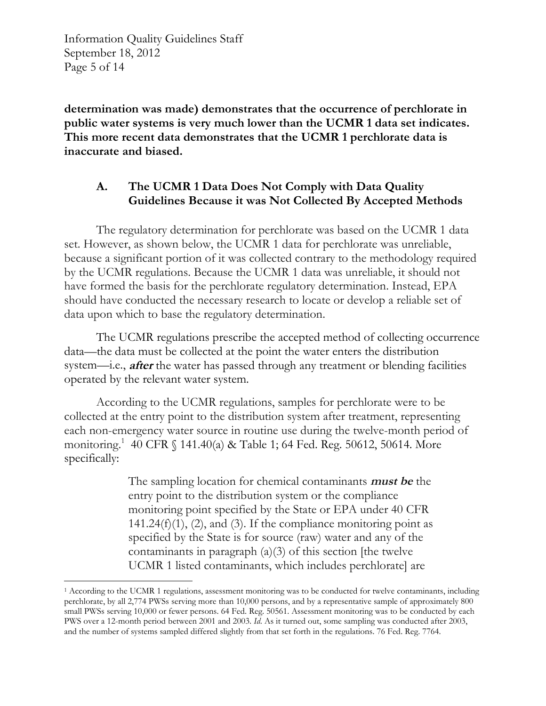Information Quality Guidelines Staff September 18, 2012 Page 5 of 14

**determination was made) demonstrates that the occurrence of perchlorate in public water systems is very much lower than the UCMR 1 data set indicates. This more recent data demonstrates that the UCMR 1 perchlorate data is inaccurate and biased.** 

# **A. The UCMR 1 Data Does Not Comply with Data Quality Guidelines Because it was Not Collected By Accepted Methods**

The regulatory determination for perchlorate was based on the UCMR 1 data set. However, as shown below, the UCMR 1 data for perchlorate was unreliable, because a significant portion of it was collected contrary to the methodology required by the UCMR regulations. Because the UCMR 1 data was unreliable, it should not have formed the basis for the perchlorate regulatory determination. Instead, EPA should have conducted the necessary research to locate or develop a reliable set of data upon which to base the regulatory determination.

The UCMR regulations prescribe the accepted method of collecting occurrence data—the data must be collected at the point the water enters the distribution system—i.e., **after** the water has passed through any treatment or blending facilities operated by the relevant water system.

According to the UCMR regulations, samples for perchlorate were to be collected at the entry point to the distribution system after treatment, representing each non-emergency water source in routine use during the twelve-month period of monitoring.[1](#page-15-0) 40 CFR § 141.40(a) & Table 1; 64 Fed. Reg. 50612, 50614. More specifically:

> The sampling location for chemical contaminants **must be** the entry point to the distribution system or the compliance monitoring point specified by the State or EPA under 40 CFR  $141.24(f)(1)$ ,  $(2)$ , and  $(3)$ . If the compliance monitoring point as specified by the State is for source (raw) water and any of the contaminants in paragraph (a)(3) of this section [the twelve UCMR 1 listed contaminants, which includes perchlorate] are

<span id="page-15-0"></span><sup>1</sup> According to the UCMR 1 regulations, assessment monitoring was to be conducted for twelve contaminants, including perchlorate, by all 2,774 PWSs serving more than 10,000 persons, and by a representative sample of approximately 800 small PWSs serving 10,000 or fewer persons. 64 Fed. Reg. 50561. Assessment monitoring was to be conducted by each PWS over a 12-month period between 2001 and 2003. *Id*. As it turned out, some sampling was conducted after 2003, and the number of systems sampled differed slightly from that set forth in the regulations. 76 Fed. Reg. 7764.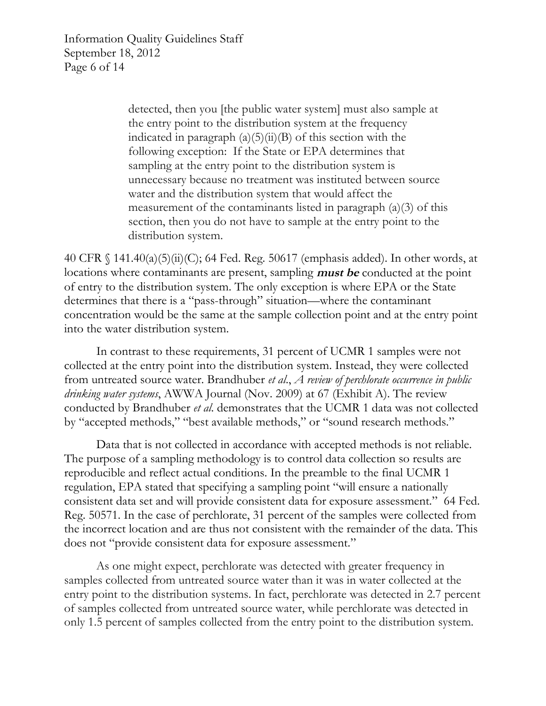Information Quality Guidelines Staff September 18, 2012 Page 6 of 14

> detected, then you [the public water system] must also sample at the entry point to the distribution system at the frequency indicated in paragraph  $(a)(5)(ii)(B)$  of this section with the following exception: If the State or EPA determines that sampling at the entry point to the distribution system is unnecessary because no treatment was instituted between source water and the distribution system that would affect the measurement of the contaminants listed in paragraph  $(a)(3)$  of this section, then you do not have to sample at the entry point to the distribution system.

40 CFR § 141.40(a)(5)(ii)(C); 64 Fed. Reg. 50617 (emphasis added). In other words, at locations where contaminants are present, sampling **must be** conducted at the point of entry to the distribution system. The only exception is where EPA or the State determines that there is a "pass-through" situation—where the contaminant concentration would be the same at the sample collection point and at the entry point into the water distribution system.

In contrast to these requirements, 31 percent of UCMR 1 samples were not collected at the entry point into the distribution system. Instead, they were collected from untreated source water. Brandhuber *et al*., *A review of perchlorate occurrence in public drinking water systems*, AWWA Journal (Nov. 2009) at 67 (Exhibit A). The review conducted by Brandhuber *et al*. demonstrates that the UCMR 1 data was not collected by "accepted methods," "best available methods," or "sound research methods."

Data that is not collected in accordance with accepted methods is not reliable. The purpose of a sampling methodology is to control data collection so results are reproducible and reflect actual conditions. In the preamble to the final UCMR 1 regulation, EPA stated that specifying a sampling point "will ensure a nationally consistent data set and will provide consistent data for exposure assessment." 64 Fed. Reg. 50571. In the case of perchlorate, 31 percent of the samples were collected from the incorrect location and are thus not consistent with the remainder of the data. This does not "provide consistent data for exposure assessment."

As one might expect, perchlorate was detected with greater frequency in samples collected from untreated source water than it was in water collected at the entry point to the distribution systems. In fact, perchlorate was detected in 2.7 percent of samples collected from untreated source water, while perchlorate was detected in only 1.5 percent of samples collected from the entry point to the distribution system.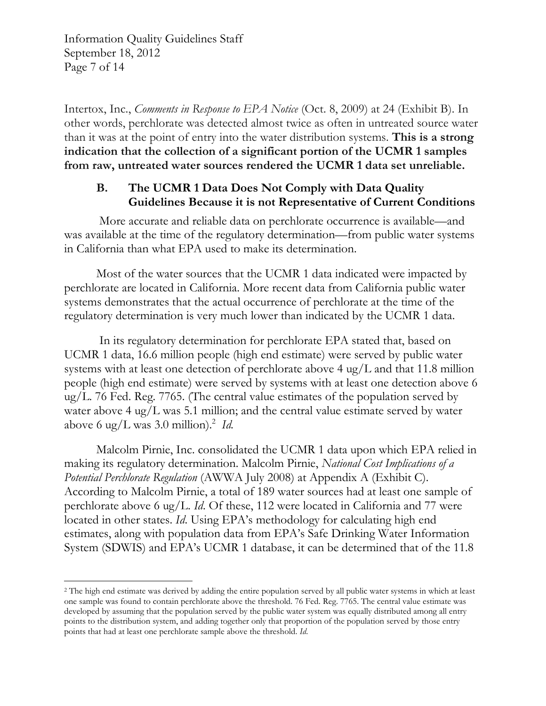Information Quality Guidelines Staff September 18, 2012 Page 7 of 14

Intertox, Inc., *Comments in Response to EPA Notice* (Oct. 8, 2009) at 24 (Exhibit B). In other words, perchlorate was detected almost twice as often in untreated source water than it was at the point of entry into the water distribution systems. **This is a strong indication that the collection of a significant portion of the UCMR 1 samples from raw, untreated water sources rendered the UCMR 1 data set unreliable.** 

# **B. The UCMR 1 Data Does Not Comply with Data Quality Guidelines Because it is not Representative of Current Conditions**

More accurate and reliable data on perchlorate occurrence is available—and was available at the time of the regulatory determination—from public water systems in California than what EPA used to make its determination.

Most of the water sources that the UCMR 1 data indicated were impacted by perchlorate are located in California. More recent data from California public water systems demonstrates that the actual occurrence of perchlorate at the time of the regulatory determination is very much lower than indicated by the UCMR 1 data.

In its regulatory determination for perchlorate EPA stated that, based on UCMR 1 data, 16.6 million people (high end estimate) were served by public water systems with at least one detection of perchlorate above 4 ug/L and that 11.8 million people (high end estimate) were served by systems with at least one detection above 6 ug/L. 76 Fed. Reg. 7765. (The central value estimates of the population served by water above 4 ug/L was 5.1 million; and the central value estimate served by water above 6 ug/L was 3.0 million).<sup>2</sup> *Id.* 

Malcolm Pirnie, Inc. consolidated the UCMR 1 data upon which EPA relied in making its regulatory determination. Malcolm Pirnie, *National Cost Implications of a Potential Perchlorate Regulation* (AWWA July 2008) at Appendix A (Exhibit C). According to Malcolm Pirnie, a total of 189 water sources had at least one sample of perchlorate above 6 ug/L. *Id*. Of these, 112 were located in California and 77 were located in other states. *Id*. Using EPA's methodology for calculating high end estimates, along with population data from EPA's Safe Drinking Water Information System (SDWIS) and EPA's UCMR 1 database, it can be determined that of the 11.8

<span id="page-17-0"></span><sup>&</sup>lt;sup>2</sup> The high end estimate was derived by adding the entire population served by all public water systems in which at least one sample was found to contain perchlorate above the threshold. 76 Fed. Reg. 7765. The central value estimate was developed by assuming that the population served by the public water system was equally distributed among all entry points to the distribution system, and adding together only that proportion of the population served by those entry points that had at least one perchlorate sample above the threshold. *Id*.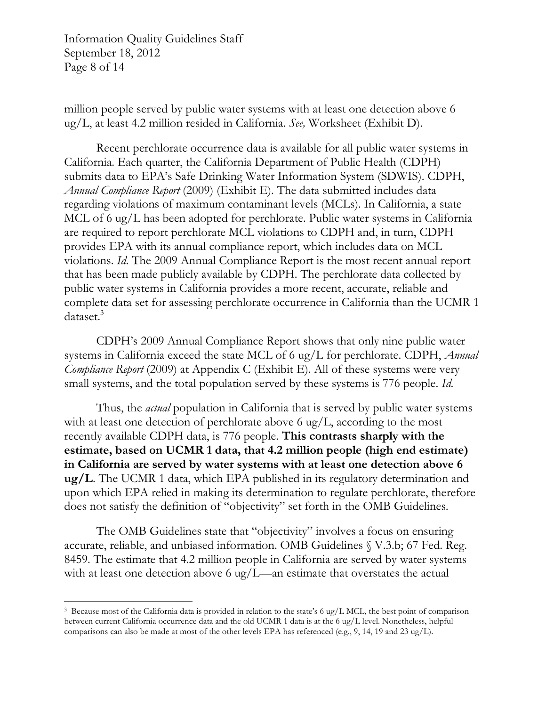Information Quality Guidelines Staff September 18, 2012 Page 8 of 14

million people served by public water systems with at least one detection above 6 ug/L, at least 4.2 million resided in California. *See,* Worksheet (Exhibit D).

Recent perchlorate occurrence data is available for all public water systems in California. Each quarter, the California Department of Public Health (CDPH) submits data to EPA's Safe Drinking Water Information System (SDWIS). CDPH, *Annual Compliance Report* (2009) (Exhibit E). The data submitted includes data regarding violations of maximum contaminant levels (MCLs). In California, a state MCL of 6 ug/L has been adopted for perchlorate. Public water systems in California are required to report perchlorate MCL violations to CDPH and, in turn, CDPH provides EPA with its annual compliance report, which includes data on MCL violations. *Id*. The 2009 Annual Compliance Report is the most recent annual report that has been made publicly available by CDPH. The perchlorate data collected by public water systems in California provides a more recent, accurate, reliable and complete data set for assessing perchlorate occurrence in California than the UCMR 1 dataset.<sup>3</sup>

CDPH's 2009 Annual Compliance Report shows that only nine public water systems in California exceed the state MCL of 6 ug/L for perchlorate. CDPH, *Annual Compliance Report* (2009) at Appendix C (Exhibit E). All of these systems were very small systems, and the total population served by these systems is 776 people. *Id*.

Thus, the *actual* population in California that is served by public water systems with at least one detection of perchlorate above 6 ug/L, according to the most recently available CDPH data, is 776 people. **This contrasts sharply with the estimate, based on UCMR 1 data, that 4.2 million people (high end estimate) in California are served by water systems with at least one detection above 6 ug/L**. The UCMR 1 data, which EPA published in its regulatory determination and upon which EPA relied in making its determination to regulate perchlorate, therefore does not satisfy the definition of "objectivity" set forth in the OMB Guidelines.

The OMB Guidelines state that "objectivity" involves a focus on ensuring accurate, reliable, and unbiased information. OMB Guidelines § V.3.b; 67 Fed. Reg. 8459. The estimate that 4.2 million people in California are served by water systems with at least one detection above 6 ug/L—an estimate that overstates the actual

<span id="page-18-0"></span><sup>&</sup>lt;sup>3</sup> Because most of the California data is provided in relation to the state's 6 ug/L MCL, the best point of comparison between current California occurrence data and the old UCMR 1 data is at the 6 ug/L level. Nonetheless, helpful comparisons can also be made at most of the other levels EPA has referenced (e.g., 9, 14, 19 and 23 ug/L).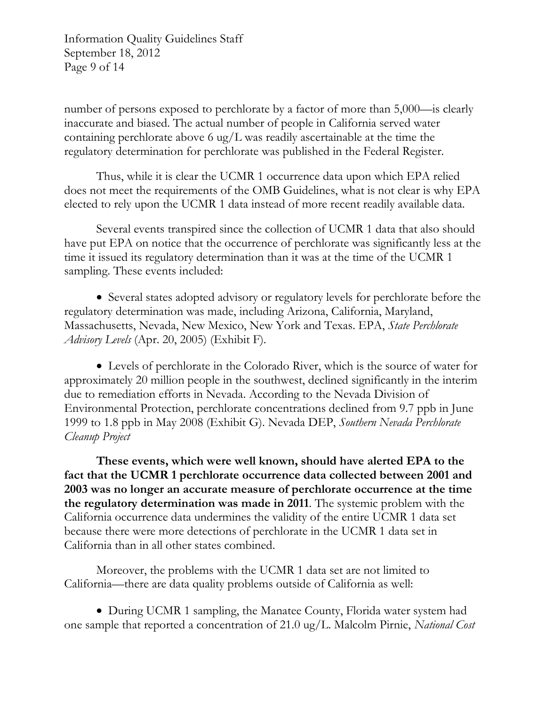Information Quality Guidelines Staff September 18, 2012 Page 9 of 14

number of persons exposed to perchlorate by a factor of more than 5,000—is clearly inaccurate and biased. The actual number of people in California served water containing perchlorate above 6 ug/L was readily ascertainable at the time the regulatory determination for perchlorate was published in the Federal Register.

Thus, while it is clear the UCMR 1 occurrence data upon which EPA relied does not meet the requirements of the OMB Guidelines, what is not clear is why EPA elected to rely upon the UCMR 1 data instead of more recent readily available data.

Several events transpired since the collection of UCMR 1 data that also should have put EPA on notice that the occurrence of perchlorate was significantly less at the time it issued its regulatory determination than it was at the time of the UCMR 1 sampling. These events included:

• Several states adopted advisory or regulatory levels for perchlorate before the regulatory determination was made, including Arizona, California, Maryland, Massachusetts, Nevada, New Mexico, New York and Texas. EPA, *State Perchlorate Advisory Levels* (Apr. 20, 2005) (Exhibit F).

 Levels of perchlorate in the Colorado River, which is the source of water for approximately 20 million people in the southwest, declined significantly in the interim due to remediation efforts in Nevada. According to the Nevada Division of Environmental Protection, perchlorate concentrations declined from 9.7 ppb in June 1999 to 1.8 ppb in May 2008 (Exhibit G). Nevada DEP, *Southern Nevada Perchlorate Cleanup Project* 

**These events, which were well known, should have alerted EPA to the fact that the UCMR 1 perchlorate occurrence data collected between 2001 and 2003 was no longer an accurate measure of perchlorate occurrence at the time the regulatory determination was made in 2011**. The systemic problem with the California occurrence data undermines the validity of the entire UCMR 1 data set because there were more detections of perchlorate in the UCMR 1 data set in California than in all other states combined.

Moreover, the problems with the UCMR 1 data set are not limited to California—there are data quality problems outside of California as well:

• During UCMR 1 sampling, the Manatee County, Florida water system had one sample that reported a concentration of 21.0 ug/L. Malcolm Pirnie, *National Cost*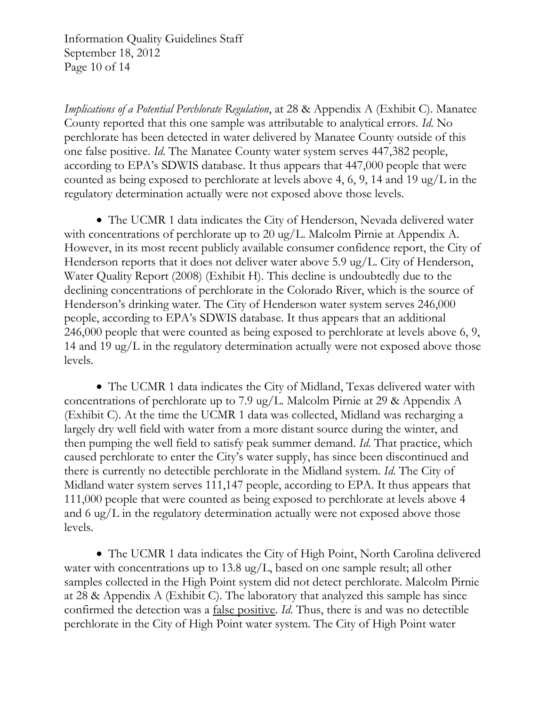Information Quality Guidelines Staff September 18, 2012 Page 10 of 14

*Implications of a Potential Perchlorate Regulation*, at 28 & Appendix A (Exhibit C). Manatee County reported that this one sample was attributable to analytical errors. *Id*. No perchlorate has been detected in water delivered by Manatee County outside of this one false positive. *Id*. The Manatee County water system serves 447,382 people, according to EPA's SDWIS database. It thus appears that 447,000 people that were counted as being exposed to perchlorate at levels above 4, 6, 9, 14 and 19 ug/L in the regulatory determination actually were not exposed above those levels.

 The UCMR 1 data indicates the City of Henderson, Nevada delivered water with concentrations of perchlorate up to 20 ug/L. Malcolm Pirnie at Appendix A. However, in its most recent publicly available consumer confidence report, the City of Henderson reports that it does not deliver water above 5.9 ug/L. City of Henderson, Water Quality Report (2008) (Exhibit H). This decline is undoubtedly due to the declining concentrations of perchlorate in the Colorado River, which is the source of Henderson's drinking water. The City of Henderson water system serves 246,000 people, according to EPA's SDWIS database. It thus appears that an additional 246,000 people that were counted as being exposed to perchlorate at levels above 6, 9, 14 and 19 ug/L in the regulatory determination actually were not exposed above those levels.

 The UCMR 1 data indicates the City of Midland, Texas delivered water with concentrations of perchlorate up to 7.9 ug/L. Malcolm Pirnie at 29 & Appendix A (Exhibit C). At the time the UCMR 1 data was collected, Midland was recharging a largely dry well field with water from a more distant source during the winter, and then pumping the well field to satisfy peak summer demand. *Id*. That practice, which caused perchlorate to enter the City's water supply, has since been discontinued and there is currently no detectible perchlorate in the Midland system. *Id*. The City of Midland water system serves 111,147 people, according to EPA. It thus appears that 111,000 people that were counted as being exposed to perchlorate at levels above 4 and 6 ug/L in the regulatory determination actually were not exposed above those levels.

 The UCMR 1 data indicates the City of High Point, North Carolina delivered water with concentrations up to 13.8 ug/L, based on one sample result; all other samples collected in the High Point system did not detect perchlorate. Malcolm Pirnie at 28 & Appendix A (Exhibit C). The laboratory that analyzed this sample has since confirmed the detection was a false positive. *Id*. Thus, there is and was no detectible perchlorate in the City of High Point water system. The City of High Point water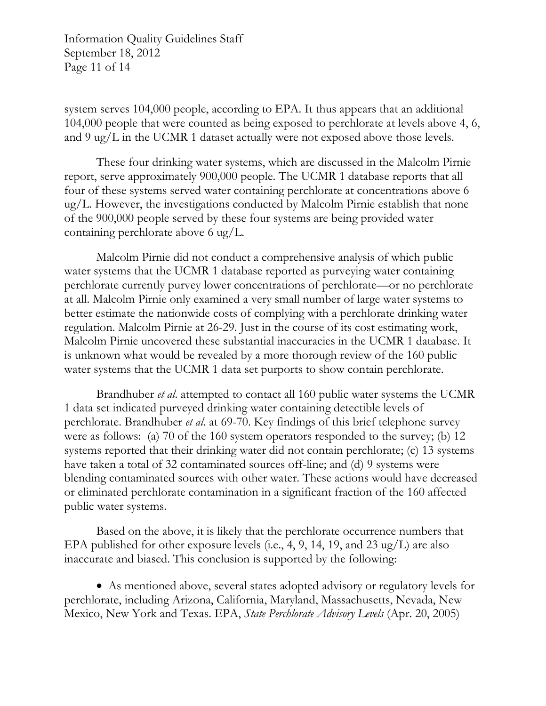Information Quality Guidelines Staff September 18, 2012 Page 11 of 14

system serves 104,000 people, according to EPA. It thus appears that an additional 104,000 people that were counted as being exposed to perchlorate at levels above 4, 6, and 9 ug/L in the UCMR 1 dataset actually were not exposed above those levels.

These four drinking water systems, which are discussed in the Malcolm Pirnie report, serve approximately 900,000 people. The UCMR 1 database reports that all four of these systems served water containing perchlorate at concentrations above 6 ug/L. However, the investigations conducted by Malcolm Pirnie establish that none of the 900,000 people served by these four systems are being provided water containing perchlorate above 6 ug/L.

Malcolm Pirnie did not conduct a comprehensive analysis of which public water systems that the UCMR 1 database reported as purveying water containing perchlorate currently purvey lower concentrations of perchlorate—or no perchlorate at all. Malcolm Pirnie only examined a very small number of large water systems to better estimate the nationwide costs of complying with a perchlorate drinking water regulation. Malcolm Pirnie at 26-29. Just in the course of its cost estimating work, Malcolm Pirnie uncovered these substantial inaccuracies in the UCMR 1 database. It is unknown what would be revealed by a more thorough review of the 160 public water systems that the UCMR 1 data set purports to show contain perchlorate.

Brandhuber *et al*. attempted to contact all 160 public water systems the UCMR 1 data set indicated purveyed drinking water containing detectible levels of perchlorate. Brandhuber *et al*. at 69-70. Key findings of this brief telephone survey were as follows: (a) 70 of the 160 system operators responded to the survey; (b) 12 systems reported that their drinking water did not contain perchlorate; (c) 13 systems have taken a total of 32 contaminated sources off-line; and (d) 9 systems were blending contaminated sources with other water. These actions would have decreased or eliminated perchlorate contamination in a significant fraction of the 160 affected public water systems.

Based on the above, it is likely that the perchlorate occurrence numbers that EPA published for other exposure levels (i.e., 4, 9, 14, 19, and 23 ug/L) are also inaccurate and biased. This conclusion is supported by the following:

 As mentioned above, several states adopted advisory or regulatory levels for perchlorate, including Arizona, California, Maryland, Massachusetts, Nevada, New Mexico, New York and Texas. EPA, *State Perchlorate Advisory Levels* (Apr. 20, 2005)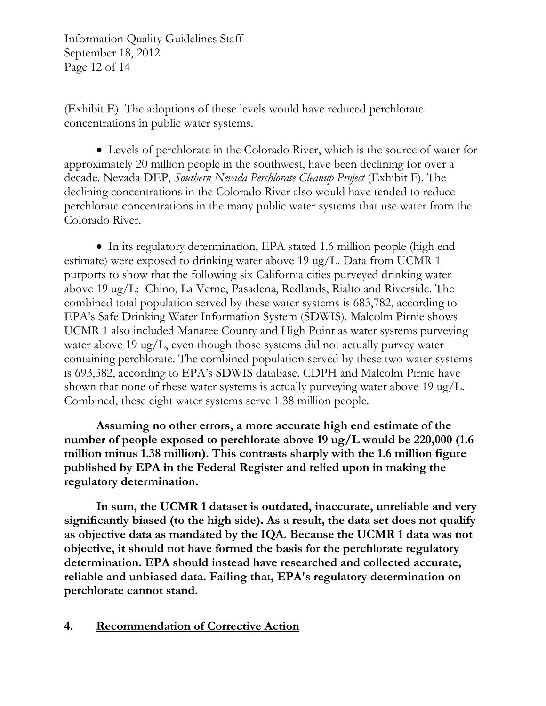Information Quality Guidelines Staff September 18, 2012 Page 12 of 14

(Exhibit E). The adoptions of these levels would have reduced perchlorate concentrations in public water systems.

 Levels of perchlorate in the Colorado River, which is the source of water for approximately 20 million people in the southwest, have been declining for over a decade. Nevada DEP, *Southern Nevada Perchlorate Cleanup Project* (Exhibit F). The declining concentrations in the Colorado River also would have tended to reduce perchlorate concentrations in the many public water systems that use water from the Colorado River.

• In its regulatory determination, EPA stated 1.6 million people (high end estimate) were exposed to drinking water above 19 ug/L. Data from UCMR 1 purports to show that the following six California cities purveyed drinking water above 19 ug/L: Chino, La Verne, Pasadena, Redlands, Rialto and Riverside. The combined total population served by these water systems is 683,782, according to EPA's Safe Drinking Water Information System (SDWIS). Malcolm Pirnie shows UCMR 1 also included Manatee County and High Point as water systems purveying water above 19 ug/L, even though those systems did not actually purvey water containing perchlorate. The combined population served by these two water systems is 693,382, according to EPA's SDWIS database. CDPH and Malcolm Pirnie have shown that none of these water systems is actually purveying water above 19 ug/L. Combined, these eight water systems serve 1.38 million people.

**Assuming no other errors, a more accurate high end estimate of the number of people exposed to perchlorate above 19 ug/L would be 220,000 (1.6 million minus 1.38 million). This contrasts sharply with the 1.6 million figure published by EPA in the Federal Register and relied upon in making the regulatory determination.** 

**In sum, the UCMR 1 dataset is outdated, inaccurate, unreliable and very significantly biased (to the high side). As a result, the data set does not qualify as objective data as mandated by the IQA. Because the UCMR 1 data was not objective, it should not have formed the basis for the perchlorate regulatory determination. EPA should instead have researched and collected accurate, reliable and unbiased data. Failing that, EPA's regulatory determination on perchlorate cannot stand.** 

## **4. Recommendation of Corrective Action**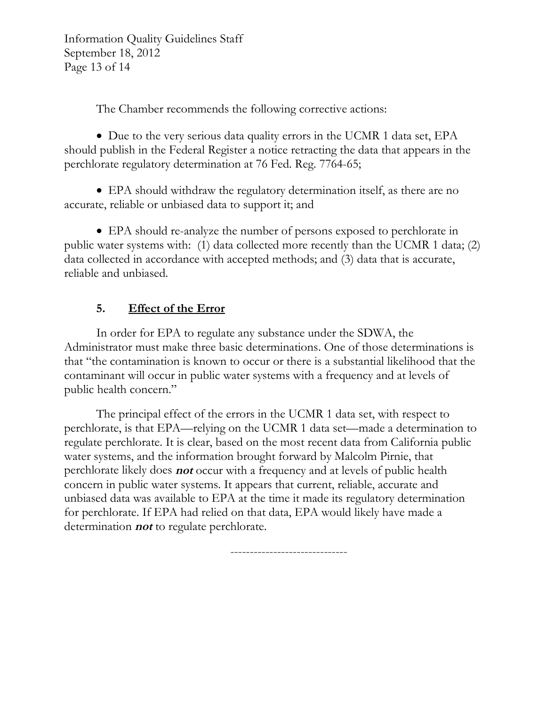Information Quality Guidelines Staff September 18, 2012 Page 13 of 14

The Chamber recommends the following corrective actions:

• Due to the very serious data quality errors in the UCMR 1 data set, EPA should publish in the Federal Register a notice retracting the data that appears in the perchlorate regulatory determination at 76 Fed. Reg. 7764-65;

 EPA should withdraw the regulatory determination itself, as there are no accurate, reliable or unbiased data to support it; and

 EPA should re-analyze the number of persons exposed to perchlorate in public water systems with: (1) data collected more recently than the UCMR 1 data; (2) data collected in accordance with accepted methods; and (3) data that is accurate, reliable and unbiased.

# **5. Effect of the Error**

In order for EPA to regulate any substance under the SDWA, the Administrator must make three basic determinations. One of those determinations is that "the contamination is known to occur or there is a substantial likelihood that the contaminant will occur in public water systems with a frequency and at levels of public health concern."

The principal effect of the errors in the UCMR 1 data set, with respect to perchlorate, is that EPA—relying on the UCMR 1 data set—made a determination to regulate perchlorate. It is clear, based on the most recent data from California public water systems, and the information brought forward by Malcolm Pirnie, that perchlorate likely does **not** occur with a frequency and at levels of public health concern in public water systems. It appears that current, reliable, accurate and unbiased data was available to EPA at the time it made its regulatory determination for perchlorate. If EPA had relied on that data, EPA would likely have made a determination **not** to regulate perchlorate.

------------------------------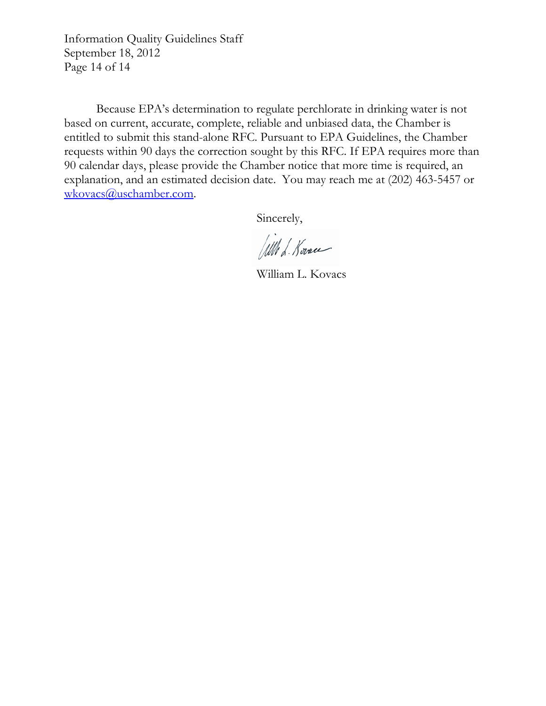Information Quality Guidelines Staff September 18, 2012 Page 14 of 14

Because EPA's determination to regulate perchlorate in drinking water is not based on current, accurate, complete, reliable and unbiased data, the Chamber is entitled to submit this stand-alone RFC. Pursuant to EPA Guidelines, the Chamber requests within 90 days the correction sought by this RFC. If EPA requires more than 90 calendar days, please provide the Chamber notice that more time is required, an explanation, and an estimated decision date. You may reach me at (202) 463-5457 or [wkovacs@uschamber.com](mailto:wkovacs@uschamber.com).

Sincerely,

Will L. Kovace

William L. Kovacs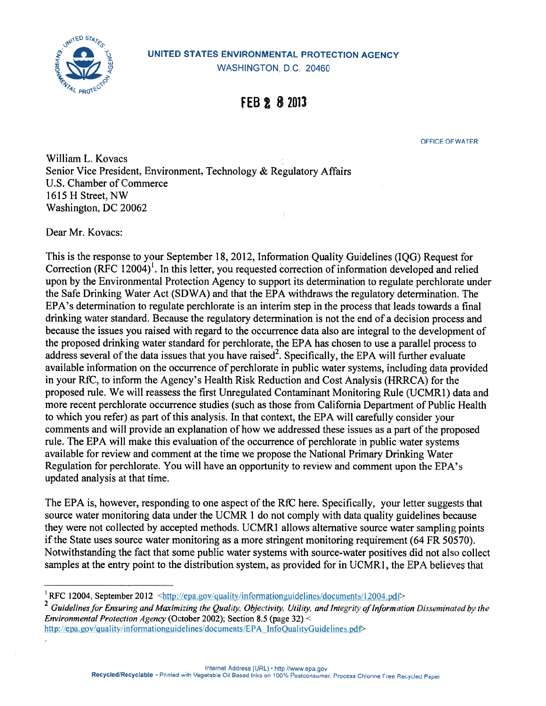

# $\overbrace{0}^{\text{gW1}^{\text{TED STA}}}\overline{c}$  UNITED STATES ENVIRONMENTAL PROTECTION AGENCY

WASHINGTON, D.C. 20460

# FEB 2 8 2013

OFFICE OF WATER

William L. Kovacs Senior Vice President. Environment. Technology & Regulatory Affairs U.S. Chamber of Commerce 1615 H Street. NW Washington. DC 20062

Dear Mr. Kovacs:

This is the response to your September 18. 2012. Information Quality Guidelines (IQG) Request for Correction (RFC 12004)<sup>1</sup>. In this letter, you requested correction of information developed and relied upon by the Environmental Protection Agency to suppor<sup>t</sup> its determination to regulate perchiorate under the Safe Drinking Water Act (SDWA) and that the EPA withdraws the regulatory determination. The EPA's determination to regulate perchiorate is an interim step in the process that leads towards <sup>a</sup> final drinking water standard. Because the regulatory determination is not the end of <sup>a</sup> decision process and because the issues you raised with regard to the occurrence data also are integral to the development of the proposed drinking water standard for perchlorate, the EPA has chosen to use <sup>a</sup> parallel process to address several of the data issues that you have raised<sup>2</sup>. Specifically, the EPA will further evaluate available information on the occurrence of perchlorate in public water systems, including data provided in your RfC, to inform the Agency's Health Risk Reduction and Cost Analysis (HRRCA) for the proposed rule. We will reassess the first Unregulated Contaminant Monitoring Rule (UCMRI) data and more recent perchlorate occurrence studies (such as those from California Department of Public Health to which you refer) as par<sup>t</sup> of this analysis. In that context, the EPA will carefully consider your comments and will provide an explanation of how we addressed these issues as <sup>a</sup> par<sup>t</sup> of the proposed rule. The EPA will make this evaluation of the occurrence of perchlorate in public water systems available for review and comment at the time we propose the National Primary Drinking Water Regulation for perchiorate. You will have an opportunity to review and comment upon the EPA's updated analysis at that time.

The EPA is, however, responding to one aspec<sup>t</sup> of the RfC here. Specifically, your letter suggests that source water monitoring data under the UCMR 1 do not comply with data quality guidelines because they were not collected by accepted methods. UCMRI allows alternative source water sampling points if the State uses source water monitoring as <sup>a</sup> more stringent monitoring requirement (64 FR 50570). Notwithstanding the fact that some public water systems with source-water positives did not also collect samples at the entry point to the distribution system, as provided for in UCMR1, the EPA believes that

http://epa.gov/quality/informationguidelines/documents/EPA InfoQualityGuidelines.pdf>

<sup>&</sup>lt;sup>1</sup>RFC 12004, September 2012 <http://epa.gov/quality/informationguidelines/documents/12004.pdf>

 $^2$  Guidelines for Ensuring and Maximizing the Quality, Objectivity, Utility, and Integrity of Information Disseminated by the Environmental Protection Agency (October 2002); Section 8.5 (page 32) <